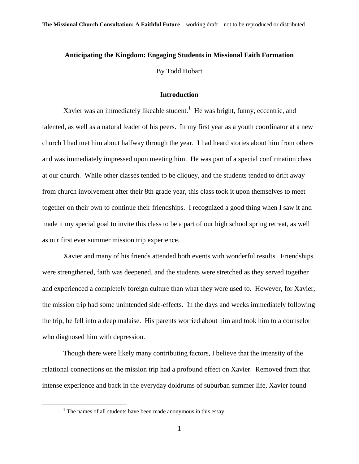# **Anticipating the Kingdom: Engaging Students in Missional Faith Formation**

By Todd Hobart

# **Introduction**

Xavier was an immediately likeable student.<sup>1</sup> He was bright, funny, eccentric, and talented, as well as a natural leader of his peers. In my first year as a youth coordinator at a new church I had met him about halfway through the year. I had heard stories about him from others and was immediately impressed upon meeting him. He was part of a special confirmation class at our church. While other classes tended to be cliquey, and the students tended to drift away from church involvement after their 8th grade year, this class took it upon themselves to meet together on their own to continue their friendships. I recognized a good thing when I saw it and made it my special goal to invite this class to be a part of our high school spring retreat, as well as our first ever summer mission trip experience.

Xavier and many of his friends attended both events with wonderful results. Friendships were strengthened, faith was deepened, and the students were stretched as they served together and experienced a completely foreign culture than what they were used to. However, for Xavier, the mission trip had some unintended side-effects. In the days and weeks immediately following the trip, he fell into a deep malaise. His parents worried about him and took him to a counselor who diagnosed him with depression.

Though there were likely many contributing factors, I believe that the intensity of the relational connections on the mission trip had a profound effect on Xavier. Removed from that intense experience and back in the everyday doldrums of suburban summer life, Xavier found

 $<sup>1</sup>$  The names of all students have been made anonymous in this essay.</sup>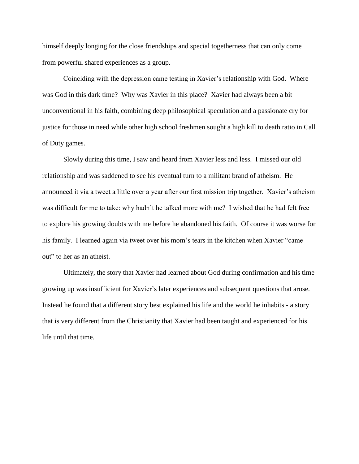himself deeply longing for the close friendships and special togetherness that can only come from powerful shared experiences as a group.

Coinciding with the depression came testing in Xavier's relationship with God. Where was God in this dark time? Why was Xavier in this place? Xavier had always been a bit unconventional in his faith, combining deep philosophical speculation and a passionate cry for justice for those in need while other high school freshmen sought a high kill to death ratio in Call of Duty games.

Slowly during this time, I saw and heard from Xavier less and less. I missed our old relationship and was saddened to see his eventual turn to a militant brand of atheism. He announced it via a tweet a little over a year after our first mission trip together. Xavier"s atheism was difficult for me to take: why hadn"t he talked more with me? I wished that he had felt free to explore his growing doubts with me before he abandoned his faith. Of course it was worse for his family. I learned again via tweet over his mom's tears in the kitchen when Xavier "came" out" to her as an atheist.

Ultimately, the story that Xavier had learned about God during confirmation and his time growing up was insufficient for Xavier"s later experiences and subsequent questions that arose. Instead he found that a different story best explained his life and the world he inhabits - a story that is very different from the Christianity that Xavier had been taught and experienced for his life until that time.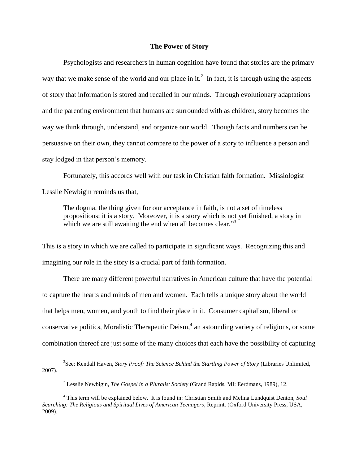## **The Power of Story**

Psychologists and researchers in human cognition have found that stories are the primary way that we make sense of the world and our place in it.<sup>2</sup> In fact, it is through using the aspects of story that information is stored and recalled in our minds. Through evolutionary adaptations and the parenting environment that humans are surrounded with as children, story becomes the way we think through, understand, and organize our world. Though facts and numbers can be persuasive on their own, they cannot compare to the power of a story to influence a person and stay lodged in that person's memory.

Fortunately, this accords well with our task in Christian faith formation. Missiologist Lesslie Newbigin reminds us that,

The dogma, the thing given for our acceptance in faith, is not a set of timeless propositions: it is a story. Moreover, it is a story which is not yet finished, a story in which we are still awaiting the end when all becomes clear."<sup>3</sup>

This is a story in which we are called to participate in significant ways. Recognizing this and imagining our role in the story is a crucial part of faith formation.

There are many different powerful narratives in American culture that have the potential to capture the hearts and minds of men and women. Each tells a unique story about the world that helps men, women, and youth to find their place in it. Consumer capitalism, liberal or conservative politics, Moralistic Therapeutic Deism, 4 an astounding variety of religions, or some combination thereof are just some of the many choices that each have the possibility of capturing

<sup>2</sup> See: Kendall Haven, *Story Proof: The Science Behind the Startling Power of Story* (Libraries Unlimited, 2007).

<sup>3</sup> Lesslie Newbigin, *The Gospel in a Pluralist Society* (Grand Rapids, MI: Eerdmans, 1989), 12.

<sup>4</sup> This term will be explained below. It is found in: Christian Smith and Melina Lundquist Denton, *Soul Searching: The Religious and Spiritual Lives of American Teenagers*, Reprint. (Oxford University Press, USA, 2009).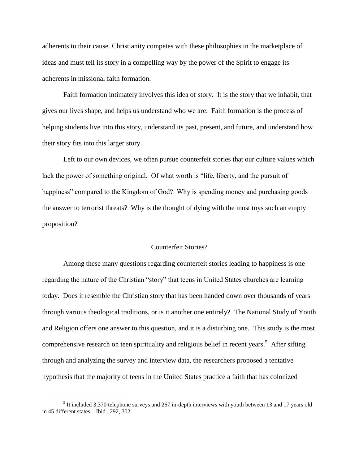adherents to their cause. Christianity competes with these philosophies in the marketplace of ideas and must tell its story in a compelling way by the power of the Spirit to engage its adherents in missional faith formation.

Faith formation intimately involves this idea of story. It is the story that we inhabit, that gives our lives shape, and helps us understand who we are. Faith formation is the process of helping students live into this story, understand its past, present, and future, and understand how their story fits into this larger story.

Left to our own devices, we often pursue counterfeit stories that our culture values which lack the power of something original. Of what worth is "life, liberty, and the pursuit of happiness" compared to the Kingdom of God? Why is spending money and purchasing goods the answer to terrorist threats? Why is the thought of dying with the most toys such an empty proposition?

#### Counterfeit Stories?

Among these many questions regarding counterfeit stories leading to happiness is one regarding the nature of the Christian "story" that teens in United States churches are learning today. Does it resemble the Christian story that has been handed down over thousands of years through various theological traditions, or is it another one entirely? The National Study of Youth and Religion offers one answer to this question, and it is a disturbing one. This study is the most comprehensive research on teen spirituality and religious belief in recent years.<sup>5</sup> After sifting through and analyzing the survey and interview data, the researchers proposed a tentative hypothesis that the majority of teens in the United States practice a faith that has colonized

 $<sup>5</sup>$  It included 3,370 telephone surveys and 267 in-depth interviews with youth between 13 and 17 years old</sup> in 45 different states. Ibid., 292, 302.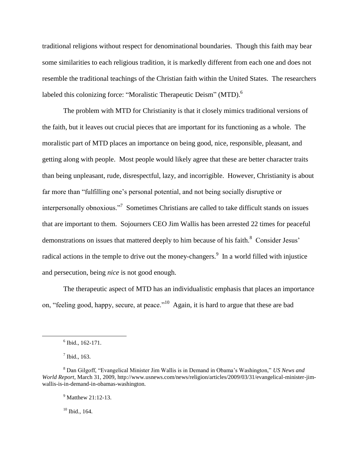traditional religions without respect for denominational boundaries. Though this faith may bear some similarities to each religious tradition, it is markedly different from each one and does not resemble the traditional teachings of the Christian faith within the United States. The researchers labeled this colonizing force: "Moralistic Therapeutic Deism" (MTD).<sup>6</sup>

The problem with MTD for Christianity is that it closely mimics traditional versions of the faith, but it leaves out crucial pieces that are important for its functioning as a whole. The moralistic part of MTD places an importance on being good, nice, responsible, pleasant, and getting along with people. Most people would likely agree that these are better character traits than being unpleasant, rude, disrespectful, lazy, and incorrigible. However, Christianity is about far more than "fulfilling one"s personal potential, and not being socially disruptive or interpersonally obnoxious."<sup>7</sup> Sometimes Christians are called to take difficult stands on issues that are important to them. Sojourners CEO Jim Wallis has been arrested 22 times for peaceful demonstrations on issues that mattered deeply to him because of his faith. $8$  Consider Jesus' radical actions in the temple to drive out the money-changers.<sup>9</sup> In a world filled with injustice and persecution, being *nice* is not good enough.

The therapeutic aspect of MTD has an individualistic emphasis that places an importance on, "feeling good, happy, secure, at peace."<sup>10</sup> Again, it is hard to argue that these are bad

 $\overline{a}$ 

 $10$  Ibid., 164.

<sup>6</sup> Ibid., 162-171.

 $<sup>7</sup>$  Ibid., 163.</sup>

<sup>8</sup> Dan Gilgoff, "Evangelical Minister Jim Wallis is in Demand in Obama"s Washington," *US News and World Report*, March 31, 2009, http://www.usnews.com/news/religion/articles/2009/03/31/evangelical-minister-jimwallis-is-in-demand-in-obamas-washington.

<sup>&</sup>lt;sup>9</sup> Matthew 21:12-13.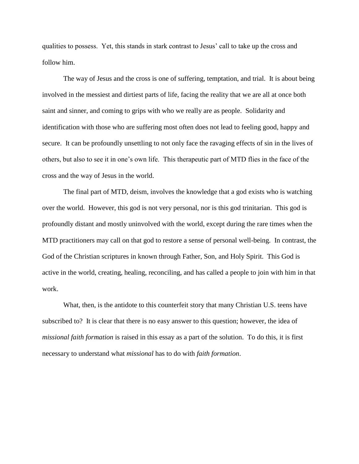qualities to possess. Yet, this stands in stark contrast to Jesus" call to take up the cross and follow him.

The way of Jesus and the cross is one of suffering, temptation, and trial. It is about being involved in the messiest and dirtiest parts of life, facing the reality that we are all at once both saint and sinner, and coming to grips with who we really are as people. Solidarity and identification with those who are suffering most often does not lead to feeling good, happy and secure. It can be profoundly unsettling to not only face the ravaging effects of sin in the lives of others, but also to see it in one"s own life. This therapeutic part of MTD flies in the face of the cross and the way of Jesus in the world.

The final part of MTD, deism, involves the knowledge that a god exists who is watching over the world. However, this god is not very personal, nor is this god trinitarian. This god is profoundly distant and mostly uninvolved with the world, except during the rare times when the MTD practitioners may call on that god to restore a sense of personal well-being. In contrast, the God of the Christian scriptures in known through Father, Son, and Holy Spirit. This God is active in the world, creating, healing, reconciling, and has called a people to join with him in that work.

What, then, is the antidote to this counterfeit story that many Christian U.S. teens have subscribed to? It is clear that there is no easy answer to this question; however, the idea of *missional faith formation* is raised in this essay as a part of the solution. To do this, it is first necessary to understand what *missional* has to do with *faith formation*.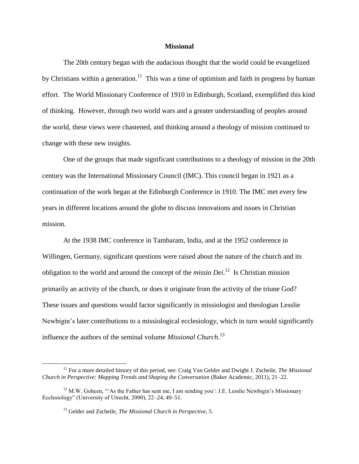#### **Missional**

The 20th century began with the audacious thought that the world could be evangelized by Christians within a generation.<sup>11</sup> This was a time of optimism and faith in progress by human effort. The World Missionary Conference of 1910 in Edinburgh, Scotland, exemplified this kind of thinking. However, through two world wars and a greater understanding of peoples around the world, these views were chastened, and thinking around a theology of mission continued to change with these new insights.

One of the groups that made significant contributions to a theology of mission in the 20th century was the International Missionary Council (IMC). This council began in 1921 as a continuation of the work began at the Edinburgh Conference in 1910. The IMC met every few years in different locations around the globe to discuss innovations and issues in Christian mission.

At the 1938 IMC conference in Tambaram, India, and at the 1952 conference in Willingen, Germany, significant questions were raised about the nature of the church and its obligation to the world and around the concept of the *missio Dei*. 12 Is Christian mission primarily an activity of the church, or does it originate from the activity of the triune God? These issues and questions would factor significantly in missiologist and theologian Lesslie Newbigin"s later contributions to a missiological ecclesiology, which in turn would significantly influence the authors of the seminal volume *Missional Church*. 13

<sup>11</sup> For a more detailed history of this period, see: Craig Van Gelder and Dwight J. Zscheile, *The Missional Church in Perspective: Mapping Trends and Shaping the Conversation* (Baker Academic, 2011), 21–22.

 $12$  M.W. Goheen, "'As the Father has sent me, I am sending you': J.E. Lesslie Newbigin's Missionary Ecclesiology" (University of Utrecht, 2000), 22–24, 49–51.

<sup>13</sup> Gelder and Zscheile, *The Missional Church in Perspective*, 5.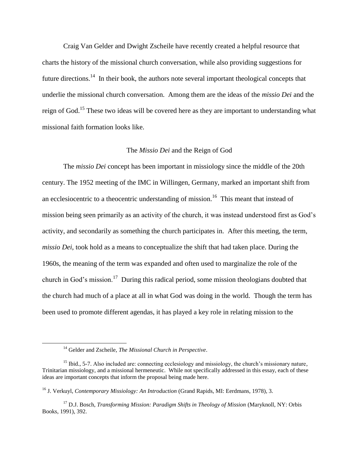Craig Van Gelder and Dwight Zscheile have recently created a helpful resource that charts the history of the missional church conversation, while also providing suggestions for future directions.<sup>14</sup> In their book, the authors note several important theological concepts that underlie the missional church conversation. Among them are the ideas of the *missio Dei* and the reign of God.<sup>15</sup> These two ideas will be covered here as they are important to understanding what missional faith formation looks like.

## The *Missio Dei* and the Reign of God

The *missio Dei* concept has been important in missiology since the middle of the 20th century. The 1952 meeting of the IMC in Willingen, Germany, marked an important shift from an ecclesiocentric to a theocentric understanding of mission.<sup>16</sup> This meant that instead of mission being seen primarily as an activity of the church, it was instead understood first as God"s activity, and secondarily as something the church participates in. After this meeting, the term, *missio Dei*, took hold as a means to conceptualize the shift that had taken place. During the 1960s, the meaning of the term was expanded and often used to marginalize the role of the church in God's mission.<sup>17</sup> During this radical period, some mission theologians doubted that the church had much of a place at all in what God was doing in the world. Though the term has been used to promote different agendas, it has played a key role in relating mission to the

 $\overline{a}$ 

<sup>16</sup> J. Verkuyl, *Contemporary Missiology: An Introduction* (Grand Rapids, MI: Eerdmans, 1978), 3.

<sup>14</sup> Gelder and Zscheile, *The Missional Church in Perspective*.

<sup>&</sup>lt;sup>15</sup> Ibid., 5-7. Also included are: connecting ecclesiology and missiology, the church's missionary nature, Trinitarian missiology, and a missional hermeneutic. While not specifically addressed in this essay, each of these ideas are important concepts that inform the proposal being made here.

<sup>17</sup> D.J. Bosch, *Transforming Mission: Paradigm Shifts in Theology of Mission* (Maryknoll, NY: Orbis Books, 1991), 392.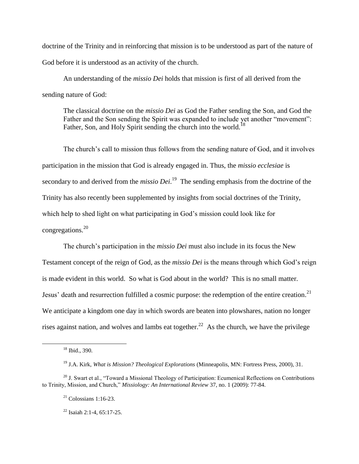doctrine of the Trinity and in reinforcing that mission is to be understood as part of the nature of God before it is understood as an activity of the church.

An understanding of the *missio Dei* holds that mission is first of all derived from the sending nature of God:

The classical doctrine on the *missio Dei* as God the Father sending the Son, and God the Father and the Son sending the Spirit was expanded to include yet another "movement": Father, Son, and Holy Spirit sending the church into the world.<sup>18</sup>

The church's call to mission thus follows from the sending nature of God, and it involves participation in the mission that God is already engaged in. Thus, the *missio ecclesiae* is secondary to and derived from the *missio Dei*.<sup>19</sup> The sending emphasis from the doctrine of the Trinity has also recently been supplemented by insights from social doctrines of the Trinity, which help to shed light on what participating in God's mission could look like for congregations.<sup>20</sup>

The church"s participation in the *missio Dei* must also include in its focus the New Testament concept of the reign of God, as the *missio Dei* is the means through which God"s reign is made evident in this world. So what is God about in the world? This is no small matter. Jesus' death and resurrection fulfilled a cosmic purpose: the redemption of the entire creation.<sup>21</sup> We anticipate a kingdom one day in which swords are beaten into plows hard a halo no longer rises against nation, and wolves and lambs eat together.<sup>22</sup> As the church, we have the privilege

<sup>18</sup> Ibid., 390.

<sup>19</sup> J.A. Kirk, *What is Mission? Theological Explorations* (Minneapolis, MN: Fortress Press, 2000), 31.

<sup>&</sup>lt;sup>20</sup> J. Swart et al., "Toward a Missional Theology of Participation: Ecumenical Reflections on Contributions to Trinity, Mission, and Church," *Missiology: An International Review* 37, no. 1 (2009): 77-84.

 $21$  Colossians 1:16-23.

 $^{22}$  Isaiah 2:1-4, 65:17-25.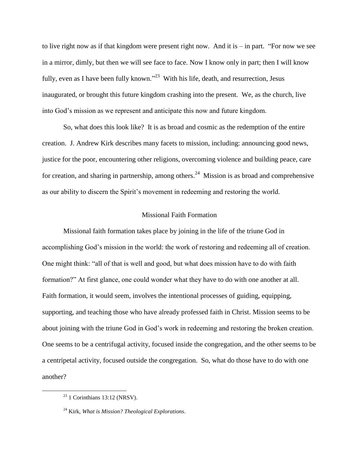to live right now as if that kingdom were present right now. And it is – in part. "For now we see in a mirror, dimly, but then we will see face to face. Now I know only in part; then I will know fully, even as I have been fully known."<sup>23</sup> With his life, death, and resurrection, Jesus inaugurated, or brought this future kingdom crashing into the present. We, as the church, live into God"s mission as we represent and anticipate this now and future kingdom.

So, what does this look like? It is as broad and cosmic as the redemption of the entire creation. J. Andrew Kirk describes many facets to mission, including: announcing good news, justice for the poor, encountering other religions, overcoming violence and building peace, care for creation, and sharing in partnership, among others.<sup>24</sup> Mission is as broad and comprehensive as our ability to discern the Spirit's movement in redeeming and restoring the world.

#### Missional Faith Formation

Missional faith formation takes place by joining in the life of the triune God in accomplishing God"s mission in the world: the work of restoring and redeeming all of creation. One might think: "all of that is well and good, but what does mission have to do with faith formation?" At first glance, one could wonder what they have to do with one another at all. Faith formation, it would seem, involves the intentional processes of guiding, equipping, supporting, and teaching those who have already professed faith in Christ. Mission seems to be about joining with the triune God in God"s work in redeeming and restoring the broken creation. One seems to be a centrifugal activity, focused inside the congregation, and the other seems to be a centripetal activity, focused outside the congregation. So, what do those have to do with one another?

 $23$  1 Corinthians 13:12 (NRSV).

<sup>24</sup> Kirk, *What is Mission? Theological Explorations*.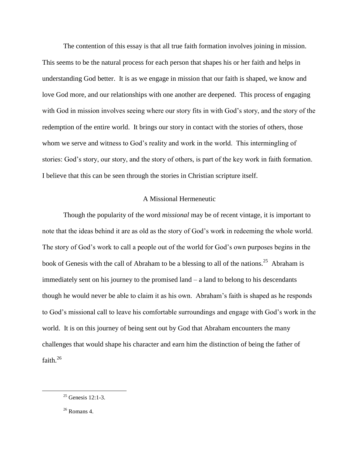The contention of this essay is that all true faith formation involves joining in mission. This seems to be the natural process for each person that shapes his or her faith and helps in understanding God better. It is as we engage in mission that our faith is shaped, we know and love God more, and our relationships with one another are deepened. This process of engaging with God in mission involves seeing where our story fits in with God"s story, and the story of the redemption of the entire world. It brings our story in contact with the stories of others, those whom we serve and witness to God's reality and work in the world. This intermingling of stories: God's story, our story, and the story of others, is part of the key work in faith formation. I believe that this can be seen through the stories in Christian scripture itself.

## A Missional Hermeneutic

Though the popularity of the word *missional* may be of recent vintage, it is important to note that the ideas behind it are as old as the story of God's work in redeeming the whole world. The story of God"s work to call a people out of the world for God"s own purposes begins in the book of Genesis with the call of Abraham to be a blessing to all of the nations.<sup>25</sup> Abraham is immediately sent on his journey to the promised land – a land to belong to his descendants though he would never be able to claim it as his own. Abraham"s faith is shaped as he responds to God"s missional call to leave his comfortable surroundings and engage with God"s work in the world. It is on this journey of being sent out by God that Abraham encounters the many challenges that would shape his character and earn him the distinction of being the father of faith.<sup>26</sup>

 $25$  Genesis 12:1-3.

 $26$  Romans 4.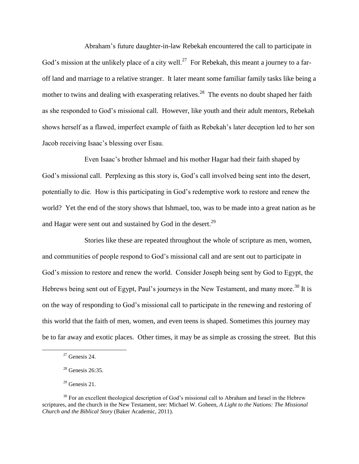Abraham"s future daughter-in-law Rebekah encountered the call to participate in God's mission at the unlikely place of a city well.<sup>27</sup> For Rebekah, this meant a journey to a faroff land and marriage to a relative stranger. It later meant some familiar family tasks like being a mother to twins and dealing with exasperating relatives.<sup>28</sup> The events no doubt shaped her faith as she responded to God"s missional call. However, like youth and their adult mentors, Rebekah shows herself as a flawed, imperfect example of faith as Rebekah"s later deception led to her son Jacob receiving Isaac"s blessing over Esau.

Even Isaac"s brother Ishmael and his mother Hagar had their faith shaped by God's missional call. Perplexing as this story is, God's call involved being sent into the desert, potentially to die. How is this participating in God"s redemptive work to restore and renew the world? Yet the end of the story shows that Ishmael, too, was to be made into a great nation as he and Hagar were sent out and sustained by God in the desert.<sup>29</sup>

Stories like these are repeated throughout the whole of scripture as men, women, and communities of people respond to God"s missional call and are sent out to participate in God"s mission to restore and renew the world. Consider Joseph being sent by God to Egypt, the Hebrews being sent out of Egypt, Paul's journeys in the New Testament, and many more.<sup>30</sup> It is on the way of responding to God"s missional call to participate in the renewing and restoring of this world that the faith of men, women, and even teens is shaped. Sometimes this journey may be to far away and exotic places. Other times, it may be as simple as crossing the street. But this

 $27$  Genesis 24.

 $28$  Genesis 26:35.

 $29$  Genesis 21.

 $30$  For an excellent theological description of God's missional call to Abraham and Israel in the Hebrew scriptures, and the church in the New Testament, see: Michael W. Goheen, *A Light to the Nations: The Missional Church and the Biblical Story* (Baker Academic, 2011).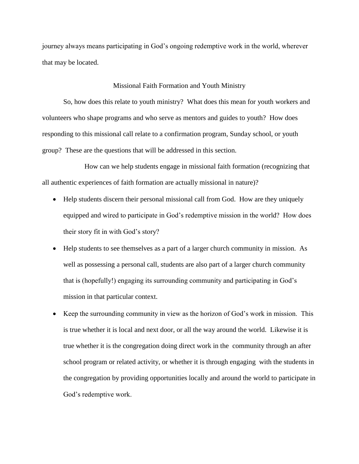journey always means participating in God"s ongoing redemptive work in the world, wherever that may be located.

## Missional Faith Formation and Youth Ministry

So, how does this relate to youth ministry? What does this mean for youth workers and volunteers who shape programs and who serve as mentors and guides to youth? How does responding to this missional call relate to a confirmation program, Sunday school, or youth group? These are the questions that will be addressed in this section.

How can we help students engage in missional faith formation (recognizing that all authentic experiences of faith formation are actually missional in nature)?

- Help students discern their personal missional call from God. How are they uniquely equipped and wired to participate in God"s redemptive mission in the world? How does their story fit in with God's story?
- Help students to see themselves as a part of a larger church community in mission. As well as possessing a personal call, students are also part of a larger church community that is (hopefully!) engaging its surrounding community and participating in God"s mission in that particular context.
- Keep the surrounding community in view as the horizon of God"s work in mission. This is true whether it is local and next door, or all the way around the world. Likewise it is true whether it is the congregation doing direct work in the community through an after school program or related activity, or whether it is through engaging with the students in the congregation by providing opportunities locally and around the world to participate in God"s redemptive work.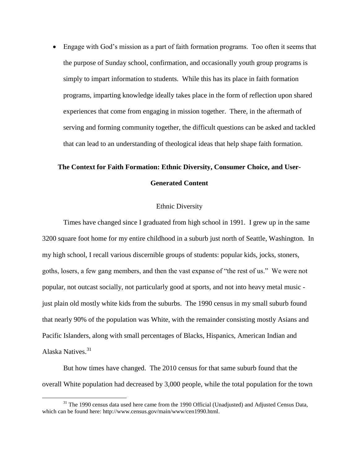Engage with God"s mission as a part of faith formation programs. Too often it seems that the purpose of Sunday school, confirmation, and occasionally youth group programs is simply to impart information to students. While this has its place in faith formation programs, imparting knowledge ideally takes place in the form of reflection upon shared experiences that come from engaging in mission together. There, in the aftermath of serving and forming community together, the difficult questions can be asked and tackled that can lead to an understanding of theological ideas that help shape faith formation.

# **The Context for Faith Formation: Ethnic Diversity, Consumer Choice, and User-Generated Content**

# Ethnic Diversity

Times have changed since I graduated from high school in 1991. I grew up in the same 3200 square foot home for my entire childhood in a suburb just north of Seattle, Washington. In my high school, I recall various discernible groups of students: popular kids, jocks, stoners, goths, losers, a few gang members, and then the vast expanse of "the rest of us." We were not popular, not outcast socially, not particularly good at sports, and not into heavy metal music just plain old mostly white kids from the suburbs. The 1990 census in my small suburb found that nearly 90% of the population was White, with the remainder consisting mostly Asians and Pacific Islanders, along with small percentages of Blacks, Hispanics, American Indian and Alaska Natives.<sup>31</sup>

But how times have changed. The 2010 census for that same suburb found that the overall White population had decreased by 3,000 people, while the total population for the town

 $31$  The 1990 census data used here came from the 1990 Official (Unadjusted) and Adjusted Census Data, which can be found here: http://www.census.gov/main/www/cen1990.html.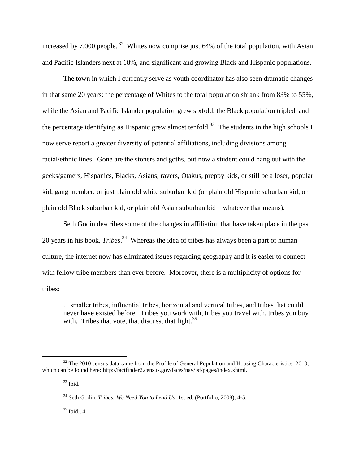increased by 7,000 people.<sup>32</sup> Whites now comprise just 64% of the total population, with Asian and Pacific Islanders next at 18%, and significant and growing Black and Hispanic populations.

The town in which I currently serve as youth coordinator has also seen dramatic changes in that same 20 years: the percentage of Whites to the total population shrank from 83% to 55%, while the Asian and Pacific Islander population grew sixfold, the Black population tripled, and the percentage identifying as Hispanic grew almost tenfold.<sup>33</sup> The students in the high schools I now serve report a greater diversity of potential affiliations, including divisions among racial/ethnic lines. Gone are the stoners and goths, but now a student could hang out with the geeks/gamers, Hispanics, Blacks, Asians, ravers, Otakus, preppy kids, or still be a loser, popular kid, gang member, or just plain old white suburban kid (or plain old Hispanic suburban kid, or plain old Black suburban kid, or plain old Asian suburban kid – whatever that means).

Seth Godin describes some of the changes in affiliation that have taken place in the past 20 years in his book, *Tribes*. 34 Whereas the idea of tribes has always been a part of human culture, the internet now has eliminated issues regarding geography and it is easier to connect with fellow tribe members than ever before. Moreover, there is a multiplicity of options for tribes:

…smaller tribes, influential tribes, horizontal and vertical tribes, and tribes that could never have existed before. Tribes you work with, tribes you travel with, tribes you buy with. Tribes that vote, that discuss, that fight. $35$ 

 $\overline{a}$ 

 $35$  Ibid., 4.

 $32$  The 2010 census data came from the Profile of General Population and Housing Characteristics: 2010, which can be found here: http://factfinder2.census.gov/faces/nav/jsf/pages/index.xhtml.

<sup>33</sup> Ibid.

<sup>34</sup> Seth Godin, *Tribes: We Need You to Lead Us*, 1st ed. (Portfolio, 2008), 4-5.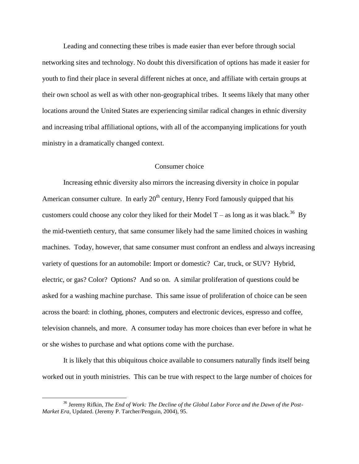Leading and connecting these tribes is made easier than ever before through social networking sites and technology. No doubt this diversification of options has made it easier for youth to find their place in several different niches at once, and affiliate with certain groups at their own school as well as with other non-geographical tribes. It seems likely that many other locations around the United States are experiencing similar radical changes in ethnic diversity and increasing tribal affiliational options, with all of the accompanying implications for youth ministry in a dramatically changed context.

## Consumer choice

Increasing ethnic diversity also mirrors the increasing diversity in choice in popular American consumer culture. In early  $20<sup>th</sup>$  century, Henry Ford famously quipped that his customers could choose any color they liked for their Model T – as long as it was black.<sup>36</sup> By the mid-twentieth century, that same consumer likely had the same limited choices in washing machines. Today, however, that same consumer must confront an endless and always increasing variety of questions for an automobile: Import or domestic? Car, truck, or SUV? Hybrid, electric, or gas? Color? Options? And so on. A similar proliferation of questions could be asked for a washing machine purchase. This same issue of proliferation of choice can be seen across the board: in clothing, phones, computers and electronic devices, espresso and coffee, television channels, and more. A consumer today has more choices than ever before in what he or she wishes to purchase and what options come with the purchase.

It is likely that this ubiquitous choice available to consumers naturally finds itself being worked out in youth ministries. This can be true with respect to the large number of choices for

<sup>&</sup>lt;sup>36</sup> Jeremy Rifkin, *The End of Work: The Decline of the Global Labor Force and the Dawn of the Post-Market Era*, Updated. (Jeremy P. Tarcher/Penguin, 2004), 95.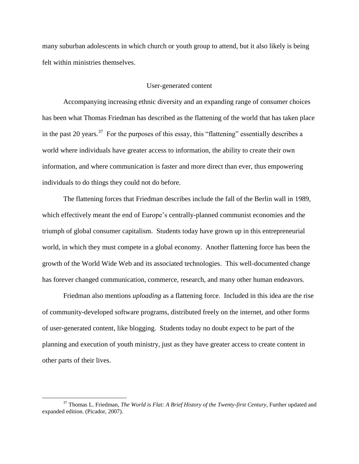many suburban adolescents in which church or youth group to attend, but it also likely is being felt within ministries themselves.

# User-generated content

Accompanying increasing ethnic diversity and an expanding range of consumer choices has been what Thomas Friedman has described as the flattening of the world that has taken place in the past 20 years.<sup>37</sup> For the purposes of this essay, this "flattening" essentially describes a world where individuals have greater access to information, the ability to create their own information, and where communication is faster and more direct than ever, thus empowering individuals to do things they could not do before.

The flattening forces that Friedman describes include the fall of the Berlin wall in 1989, which effectively meant the end of Europe's centrally-planned communist economies and the triumph of global consumer capitalism. Students today have grown up in this entrepreneurial world, in which they must compete in a global economy. Another flattening force has been the growth of the World Wide Web and its associated technologies. This well-documented change has forever changed communication, commerce, research, and many other human endeavors.

Friedman also mentions *uploading* as a flattening force. Included in this idea are the rise of community-developed software programs, distributed freely on the internet, and other forms of user-generated content, like blogging. Students today no doubt expect to be part of the planning and execution of youth ministry, just as they have greater access to create content in other parts of their lives.

<sup>37</sup> Thomas L. Friedman, *The World is Flat: A Brief History of the Twenty-first Century*, Further updated and expanded edition. (Picador, 2007).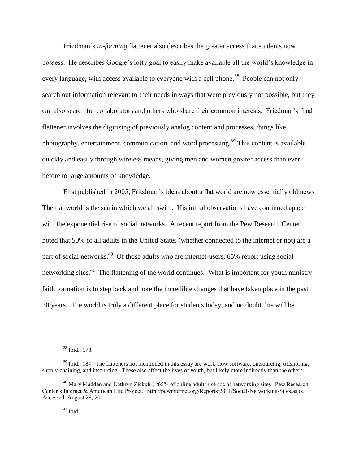Friedman"s *in-forming* flattener also describes the greater access that students now possess. He describes Google"s lofty goal to easily make available all the world"s knowledge in every language, with access available to everyone with a cell phone.<sup>38</sup> People can not only search out information relevant to their needs in ways that were previously not possible, but they can also search for collaborators and others who share their common interests. Friedman"s final flattener involves the digitizing of previously analog content and processes, things like photography, entertainment, communication, and word processing.<sup>39</sup> This content is available quickly and easily through wireless means, giving men and women greater access than ever before to large amounts of knowledge.

First published in 2005, Friedman"s ideas about a flat world are now essentially old news. The flat world is the sea in which we all swim. His initial observations have continued apace with the exponential rise of social networks. A recent report from the Pew Research Center noted that 50% of all adults in the United States (whether connected to the internet or not) are a part of social networks.<sup>40</sup> Of those adults who are internet-users, 65% report using social networking sites.<sup>41</sup> The flattening of the world continues. What is important for youth ministry faith formation is to step back and note the incredible changes that have taken place in the past 20 years. The world is truly a different place for students today, and no doubt this will be

<sup>38</sup> Ibid., 178.

 $39$  Ibid., 187. The flatteners not mentioned in this essay are work-flow software, outsourcing, offshoring, supply-chaining, and insourcing. These also affect the lives of youth, but likely more indirectly than the others.

<sup>&</sup>lt;sup>40</sup> Mary Madden and Kathryn Zickuhr, "65% of online adults use social networking sites | Pew Research Center"s Internet & American Life Project," http://pewinternet.org/Reports/2011/Social-Networking-Sites.aspx. Accessed: August 29, 2011.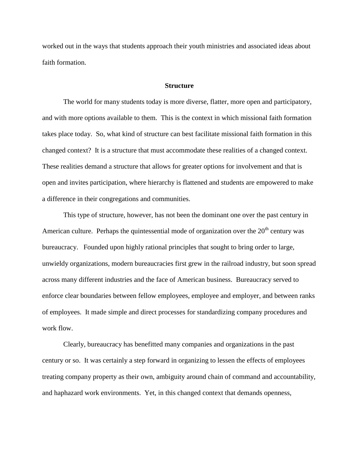worked out in the ways that students approach their youth ministries and associated ideas about faith formation.

#### **Structure**

The world for many students today is more diverse, flatter, more open and participatory, and with more options available to them. This is the context in which missional faith formation takes place today. So, what kind of structure can best facilitate missional faith formation in this changed context? It is a structure that must accommodate these realities of a changed context. These realities demand a structure that allows for greater options for involvement and that is open and invites participation, where hierarchy is flattened and students are empowered to make a difference in their congregations and communities.

This type of structure, however, has not been the dominant one over the past century in American culture. Perhaps the quintessential mode of organization over the  $20<sup>th</sup>$  century was bureaucracy. Founded upon highly rational principles that sought to bring order to large, unwieldy organizations, modern bureaucracies first grew in the railroad industry, but soon spread across many different industries and the face of American business. Bureaucracy served to enforce clear boundaries between fellow employees, employee and employer, and between ranks of employees. It made simple and direct processes for standardizing company procedures and work flow.

Clearly, bureaucracy has benefitted many companies and organizations in the past century or so. It was certainly a step forward in organizing to lessen the effects of employees treating company property as their own, ambiguity around chain of command and accountability, and haphazard work environments. Yet, in this changed context that demands openness,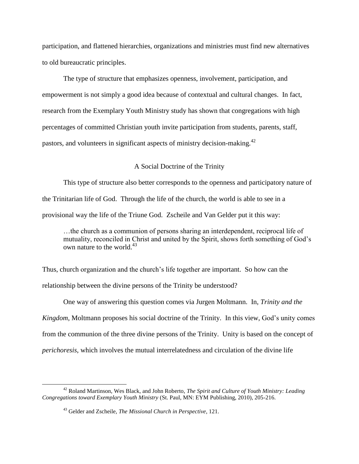participation, and flattened hierarchies, organizations and ministries must find new alternatives to old bureaucratic principles.

The type of structure that emphasizes openness, involvement, participation, and empowerment is not simply a good idea because of contextual and cultural changes. In fact, research from the Exemplary Youth Ministry study has shown that congregations with high percentages of committed Christian youth invite participation from students, parents, staff, pastors, and volunteers in significant aspects of ministry decision-making.<sup>42</sup>

## A Social Doctrine of the Trinity

This type of structure also better corresponds to the openness and participatory nature of the Trinitarian life of God. Through the life of the church, the world is able to see in a provisional way the life of the Triune God. Zscheile and Van Gelder put it this way:

…the church as a communion of persons sharing an interdependent, reciprocal life of mutuality, reconciled in Christ and united by the Spirit, shows forth something of God"s own nature to the world. $43$ 

Thus, church organization and the church"s life together are important. So how can the relationship between the divine persons of the Trinity be understood?

One way of answering this question comes via Jurgen Moltmann. In, *Trinity and the Kingdom*, Moltmann proposes his social doctrine of the Trinity. In this view, God"s unity comes from the communion of the three divine persons of the Trinity. Unity is based on the concept of *perichoresis*, which involves the mutual interrelatedness and circulation of the divine life

<sup>42</sup> Roland Martinson, Wes Black, and John Roberto, *The Spirit and Culture of Youth Ministry: Leading Congregations toward Exemplary Youth Ministry* (St. Paul, MN: EYM Publishing, 2010), 205-216.

<sup>43</sup> Gelder and Zscheile, *The Missional Church in Perspective*, 121.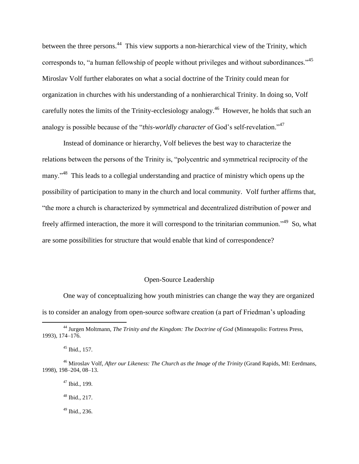between the three persons.<sup>44</sup> This view supports a non-hierarchical view of the Trinity, which corresponds to, "a human fellowship of people without privileges and without subordinances."<sup>45</sup> Miroslav Volf further elaborates on what a social doctrine of the Trinity could mean for organization in churches with his understanding of a nonhierarchical Trinity. In doing so, Volf carefully notes the limits of the Trinity-ecclesiology analogy.<sup>46</sup> However, he holds that such an analogy is possible because of the "*this-worldly character* of God's self-revelation."<sup>47</sup>

Instead of dominance or hierarchy, Volf believes the best way to characterize the relations between the persons of the Trinity is, "polycentric and symmetrical reciprocity of the many."<sup>48</sup> This leads to a collegial understanding and practice of ministry which opens up the possibility of participation to many in the church and local community. Volf further affirms that, "the more a church is characterized by symmetrical and decentralized distribution of power and freely affirmed interaction, the more it will correspond to the trinitarian communion."<sup>49</sup> So, what are some possibilities for structure that would enable that kind of correspondence?

# Open-Source Leadership

One way of conceptualizing how youth ministries can change the way they are organized is to consider an analogy from open-source software creation (a part of Friedman"s uploading

 $\overline{a}$ 

<sup>47</sup> Ibid., 199.

<sup>44</sup> Jurgen Moltmann, *The Trinity and the Kingdom: The Doctrine of God* (Minneapolis: Fortress Press, 1993), 174–176.

<sup>45</sup> Ibid., 157.

<sup>46</sup> Miroslav Volf, *After our Likeness: The Church as the Image of the Trinity* (Grand Rapids, MI: Eerdmans, 1998), 198–204, 08–13.

 $48$  Ibid., 217.

 $49$  Ibid., 236.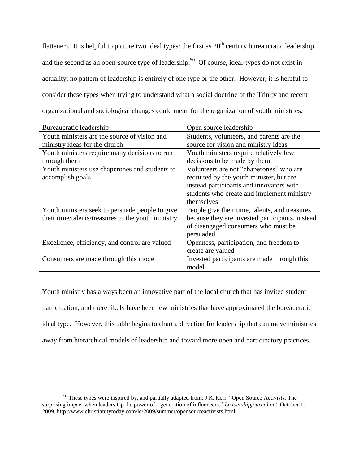flattener). It is helpful to picture two ideal types: the first as  $20<sup>th</sup>$  century bureaucratic leadership, and the second as an open-source type of leadership.<sup>50</sup> Of course, ideal-types do not exist in actuality; no pattern of leadership is entirely of one type or the other. However, it is helpful to consider these types when trying to understand what a social doctrine of the Trinity and recent organizational and sociological changes could mean for the organization of youth ministries.

| Bureaucratic leadership                            | Open source leadership                          |
|----------------------------------------------------|-------------------------------------------------|
| Youth ministers are the source of vision and       | Students, volunteers, and parents are the       |
| ministry ideas for the church                      | source for vision and ministry ideas            |
| Youth ministers require many decisions to run      | Youth ministers require relatively few          |
| through them                                       | decisions to be made by them                    |
| Youth ministers use chaperones and students to     | Volunteers are not "chaperones" who are         |
| accomplish goals                                   | recruited by the youth minister, but are        |
|                                                    | instead participants and innovators with        |
|                                                    | students who create and implement ministry      |
|                                                    | themselves                                      |
| Youth ministers seek to persuade people to give    | People give their time, talents, and treasures  |
| their time/talents/treasures to the youth ministry | because they are invested participants, instead |
|                                                    | of disengaged consumers who must be             |
|                                                    | persuaded                                       |
| Excellence, efficiency, and control are valued     | Openness, participation, and freedom to         |
|                                                    | create are valued                               |
| Consumers are made through this model              | Invested participants are made through this     |
|                                                    | model                                           |

Youth ministry has always been an innovative part of the local church that has invited student participation, and there likely have been few ministries that have approximated the bureaucratic ideal type. However, this table begins to chart a direction for leadership that can move ministries away from hierarchical models of leadership and toward more open and participatory practices.

<sup>&</sup>lt;sup>50</sup> These types were inspired by, and partially adapted from: J.R. Kerr, "Open Source Activists: The surprising impact when leaders tap the power of a generation of influencers," *Leadershipjournal.net*, October 1, 2009, http://www.christianitytoday.com/le/2009/summer/opensourceactivists.html.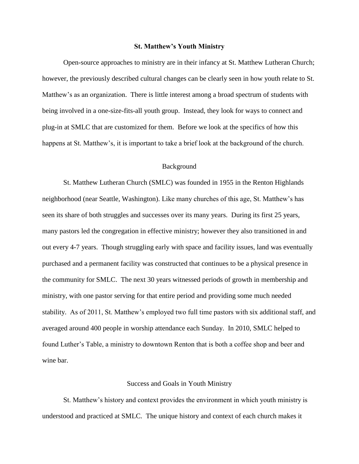### **St. Matthew's Youth Ministry**

Open-source approaches to ministry are in their infancy at St. Matthew Lutheran Church; however, the previously described cultural changes can be clearly seen in how youth relate to St. Matthew's as an organization. There is little interest among a broad spectrum of students with being involved in a one-size-fits-all youth group. Instead, they look for ways to connect and plug-in at SMLC that are customized for them. Before we look at the specifics of how this happens at St. Matthew's, it is important to take a brief look at the background of the church.

## Background

St. Matthew Lutheran Church (SMLC) was founded in 1955 in the Renton Highlands neighborhood (near Seattle, Washington). Like many churches of this age, St. Matthew"s has seen its share of both struggles and successes over its many years. During its first 25 years, many pastors led the congregation in effective ministry; however they also transitioned in and out every 4-7 years. Though struggling early with space and facility issues, land was eventually purchased and a permanent facility was constructed that continues to be a physical presence in the community for SMLC. The next 30 years witnessed periods of growth in membership and ministry, with one pastor serving for that entire period and providing some much needed stability. As of 2011, St. Matthew"s employed two full time pastors with six additional staff, and averaged around 400 people in worship attendance each Sunday. In 2010, SMLC helped to found Luther"s Table, a ministry to downtown Renton that is both a coffee shop and beer and wine bar.

## Success and Goals in Youth Ministry

St. Matthew"s history and context provides the environment in which youth ministry is understood and practiced at SMLC. The unique history and context of each church makes it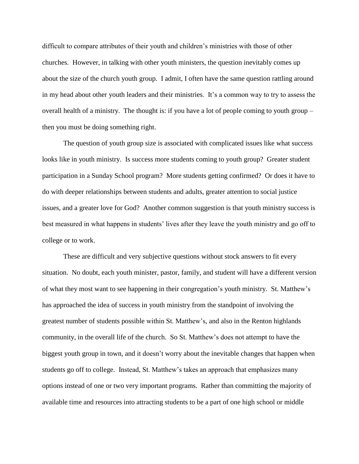difficult to compare attributes of their youth and children"s ministries with those of other churches. However, in talking with other youth ministers, the question inevitably comes up about the size of the church youth group. I admit, I often have the same question rattling around in my head about other youth leaders and their ministries. It"s a common way to try to assess the overall health of a ministry. The thought is: if you have a lot of people coming to youth group – then you must be doing something right.

The question of youth group size is associated with complicated issues like what success looks like in youth ministry. Is success more students coming to youth group? Greater student participation in a Sunday School program? More students getting confirmed? Or does it have to do with deeper relationships between students and adults, greater attention to social justice issues, and a greater love for God? Another common suggestion is that youth ministry success is best measured in what happens in students' lives after they leave the youth ministry and go off to college or to work.

These are difficult and very subjective questions without stock answers to fit every situation. No doubt, each youth minister, pastor, family, and student will have a different version of what they most want to see happening in their congregation"s youth ministry. St. Matthew"s has approached the idea of success in youth ministry from the standpoint of involving the greatest number of students possible within St. Matthew"s, and also in the Renton highlands community, in the overall life of the church. So St. Matthew"s does not attempt to have the biggest youth group in town, and it doesn't worry about the inevitable changes that happen when students go off to college. Instead, St. Matthew"s takes an approach that emphasizes many options instead of one or two very important programs. Rather than committing the majority of available time and resources into attracting students to be a part of one high school or middle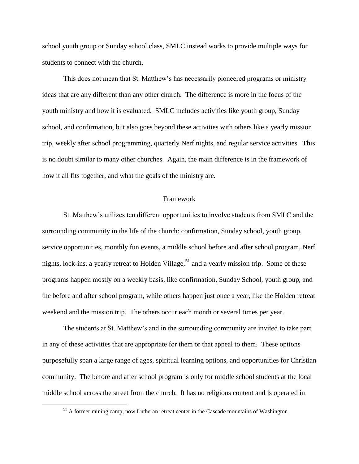school youth group or Sunday school class, SMLC instead works to provide multiple ways for students to connect with the church.

This does not mean that St. Matthew"s has necessarily pioneered programs or ministry ideas that are any different than any other church. The difference is more in the focus of the youth ministry and how it is evaluated. SMLC includes activities like youth group, Sunday school, and confirmation, but also goes beyond these activities with others like a yearly mission trip, weekly after school programming, quarterly Nerf nights, and regular service activities. This is no doubt similar to many other churches. Again, the main difference is in the framework of how it all fits together, and what the goals of the ministry are.

#### Framework

St. Matthew"s utilizes ten different opportunities to involve students from SMLC and the surrounding community in the life of the church: confirmation, Sunday school, youth group, service opportunities, monthly fun events, a middle school before and after school program, Nerf nights, lock-ins, a yearly retreat to Holden Village,  $51$  and a yearly mission trip. Some of these programs happen mostly on a weekly basis, like confirmation, Sunday School, youth group, and the before and after school program, while others happen just once a year, like the Holden retreat weekend and the mission trip. The others occur each month or several times per year.

The students at St. Matthew"s and in the surrounding community are invited to take part in any of these activities that are appropriate for them or that appeal to them. These options purposefully span a large range of ages, spiritual learning options, and opportunities for Christian community. The before and after school program is only for middle school students at the local middle school across the street from the church. It has no religious content and is operated in

<sup>&</sup>lt;sup>51</sup> A former mining camp, now Lutheran retreat center in the Cascade mountains of Washington.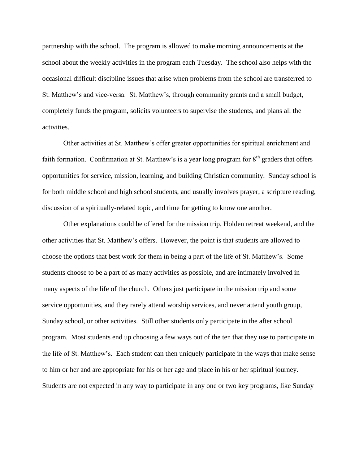partnership with the school. The program is allowed to make morning announcements at the school about the weekly activities in the program each Tuesday. The school also helps with the occasional difficult discipline issues that arise when problems from the school are transferred to St. Matthew"s and vice-versa. St. Matthew"s, through community grants and a small budget, completely funds the program, solicits volunteers to supervise the students, and plans all the activities.

Other activities at St. Matthew"s offer greater opportunities for spiritual enrichment and faith formation. Confirmation at St. Matthew's is a year long program for  $8<sup>th</sup>$  graders that offers opportunities for service, mission, learning, and building Christian community. Sunday school is for both middle school and high school students, and usually involves prayer, a scripture reading, discussion of a spiritually-related topic, and time for getting to know one another.

Other explanations could be offered for the mission trip, Holden retreat weekend, and the other activities that St. Matthew"s offers. However, the point is that students are allowed to choose the options that best work for them in being a part of the life of St. Matthew"s. Some students choose to be a part of as many activities as possible, and are intimately involved in many aspects of the life of the church. Others just participate in the mission trip and some service opportunities, and they rarely attend worship services, and never attend youth group, Sunday school, or other activities. Still other students only participate in the after school program. Most students end up choosing a few ways out of the ten that they use to participate in the life of St. Matthew"s. Each student can then uniquely participate in the ways that make sense to him or her and are appropriate for his or her age and place in his or her spiritual journey. Students are not expected in any way to participate in any one or two key programs, like Sunday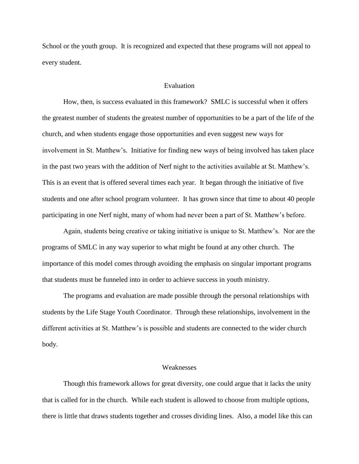School or the youth group. It is recognized and expected that these programs will not appeal to every student.

#### Evaluation

How, then, is success evaluated in this framework? SMLC is successful when it offers the greatest number of students the greatest number of opportunities to be a part of the life of the church, and when students engage those opportunities and even suggest new ways for involvement in St. Matthew"s. Initiative for finding new ways of being involved has taken place in the past two years with the addition of Nerf night to the activities available at St. Matthew"s. This is an event that is offered several times each year. It began through the initiative of five students and one after school program volunteer. It has grown since that time to about 40 people participating in one Nerf night, many of whom had never been a part of St. Matthew"s before.

Again, students being creative or taking initiative is unique to St. Matthew"s. Nor are the programs of SMLC in any way superior to what might be found at any other church. The importance of this model comes through avoiding the emphasis on singular important programs that students must be funneled into in order to achieve success in youth ministry.

The programs and evaluation are made possible through the personal relationships with students by the Life Stage Youth Coordinator. Through these relationships, involvement in the different activities at St. Matthew"s is possible and students are connected to the wider church body.

# Weaknesses

Though this framework allows for great diversity, one could argue that it lacks the unity that is called for in the church. While each student is allowed to choose from multiple options, there is little that draws students together and crosses dividing lines. Also, a model like this can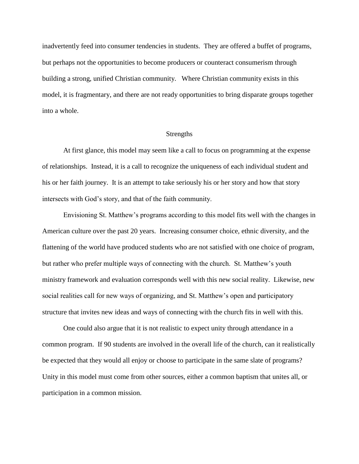inadvertently feed into consumer tendencies in students. They are offered a buffet of programs, but perhaps not the opportunities to become producers or counteract consumerism through building a strong, unified Christian community. Where Christian community exists in this model, it is fragmentary, and there are not ready opportunities to bring disparate groups together into a whole.

## **Strengths**

At first glance, this model may seem like a call to focus on programming at the expense of relationships. Instead, it is a call to recognize the uniqueness of each individual student and his or her faith journey. It is an attempt to take seriously his or her story and how that story intersects with God"s story, and that of the faith community.

Envisioning St. Matthew"s programs according to this model fits well with the changes in American culture over the past 20 years. Increasing consumer choice, ethnic diversity, and the flattening of the world have produced students who are not satisfied with one choice of program, but rather who prefer multiple ways of connecting with the church. St. Matthew"s youth ministry framework and evaluation corresponds well with this new social reality. Likewise, new social realities call for new ways of organizing, and St. Matthew"s open and participatory structure that invites new ideas and ways of connecting with the church fits in well with this.

One could also argue that it is not realistic to expect unity through attendance in a common program. If 90 students are involved in the overall life of the church, can it realistically be expected that they would all enjoy or choose to participate in the same slate of programs? Unity in this model must come from other sources, either a common baptism that unites all, or participation in a common mission.